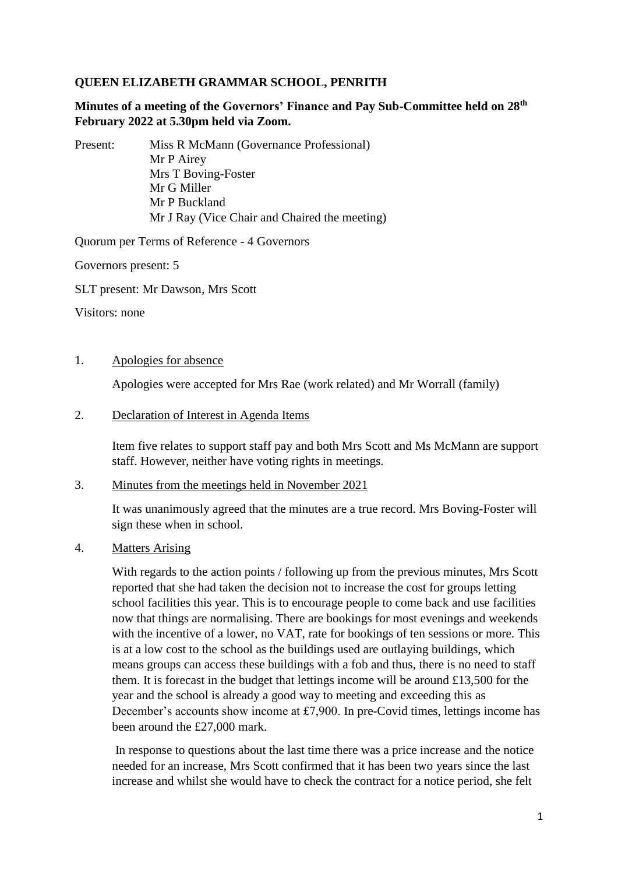# **QUEEN ELIZABETH GRAMMAR SCHOOL, PENRITH**

# **Minutes of a meeting of the Governors' Finance and Pay Sub-Committee held on 28th February 2022 at 5.30pm held via Zoom.**

Present: Miss R McMann (Governance Professional) Mr P Airey Mrs T Boving-Foster Mr G Miller Mr P Buckland Mr J Ray (Vice Chair and Chaired the meeting)

Quorum per Terms of Reference - 4 Governors

Governors present: 5

SLT present: Mr Dawson, Mrs Scott

Visitors: none

## 1. Apologies for absence

Apologies were accepted for Mrs Rae (work related) and Mr Worrall (family)

#### 2. Declaration of Interest in Agenda Items

Item five relates to support staff pay and both Mrs Scott and Ms McMann are support staff. However, neither have voting rights in meetings.

## 3. Minutes from the meetings held in November 2021

It was unanimously agreed that the minutes are a true record. Mrs Boving-Foster will sign these when in school.

## 4. Matters Arising

With regards to the action points / following up from the previous minutes, Mrs Scott reported that she had taken the decision not to increase the cost for groups letting school facilities this year. This is to encourage people to come back and use facilities now that things are normalising. There are bookings for most evenings and weekends with the incentive of a lower, no VAT, rate for bookings of ten sessions or more. This is at a low cost to the school as the buildings used are outlaying buildings, which means groups can access these buildings with a fob and thus, there is no need to staff them. It is forecast in the budget that lettings income will be around £13,500 for the year and the school is already a good way to meeting and exceeding this as December's accounts show income at £7,900. In pre-Covid times, lettings income has been around the £27,000 mark.

In response to questions about the last time there was a price increase and the notice needed for an increase, Mrs Scott confirmed that it has been two years since the last increase and whilst she would have to check the contract for a notice period, she felt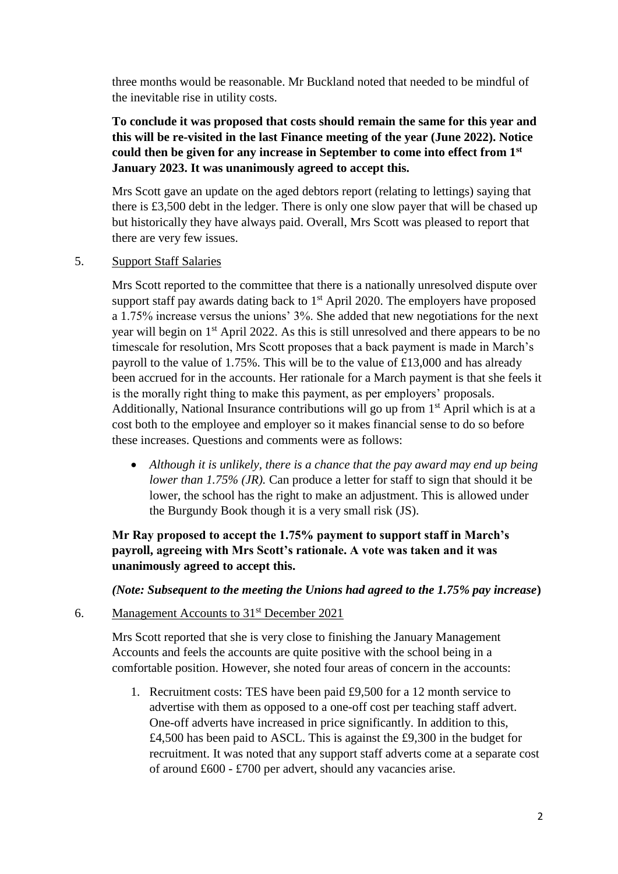three months would be reasonable. Mr Buckland noted that needed to be mindful of the inevitable rise in utility costs.

**To conclude it was proposed that costs should remain the same for this year and this will be re-visited in the last Finance meeting of the year (June 2022). Notice could then be given for any increase in September to come into effect from 1st January 2023. It was unanimously agreed to accept this.**

Mrs Scott gave an update on the aged debtors report (relating to lettings) saying that there is £3,500 debt in the ledger. There is only one slow payer that will be chased up but historically they have always paid. Overall, Mrs Scott was pleased to report that there are very few issues.

## 5. Support Staff Salaries

Mrs Scott reported to the committee that there is a nationally unresolved dispute over support staff pay awards dating back to  $1<sup>st</sup>$  April 2020. The employers have proposed a 1.75% increase versus the unions' 3%. She added that new negotiations for the next year will begin on 1st April 2022. As this is still unresolved and there appears to be no timescale for resolution, Mrs Scott proposes that a back payment is made in March's payroll to the value of 1.75%. This will be to the value of £13,000 and has already been accrued for in the accounts. Her rationale for a March payment is that she feels it is the morally right thing to make this payment, as per employers' proposals. Additionally, National Insurance contributions will go up from  $1<sup>st</sup>$  April which is at a cost both to the employee and employer so it makes financial sense to do so before these increases. Questions and comments were as follows:

 *Although it is unlikely, there is a chance that the pay award may end up being lower than 1.75% (JR).* Can produce a letter for staff to sign that should it be lower, the school has the right to make an adjustment. This is allowed under the Burgundy Book though it is a very small risk (JS).

# **Mr Ray proposed to accept the 1.75% payment to support staff in March's payroll, agreeing with Mrs Scott's rationale. A vote was taken and it was unanimously agreed to accept this.**

## *(Note: Subsequent to the meeting the Unions had agreed to the 1.75% pay increase***)**

## 6. Management Accounts to 31st December 2021

Mrs Scott reported that she is very close to finishing the January Management Accounts and feels the accounts are quite positive with the school being in a comfortable position. However, she noted four areas of concern in the accounts:

1. Recruitment costs: TES have been paid £9,500 for a 12 month service to advertise with them as opposed to a one-off cost per teaching staff advert. One-off adverts have increased in price significantly. In addition to this, £4,500 has been paid to ASCL. This is against the £9,300 in the budget for recruitment. It was noted that any support staff adverts come at a separate cost of around £600 - £700 per advert, should any vacancies arise.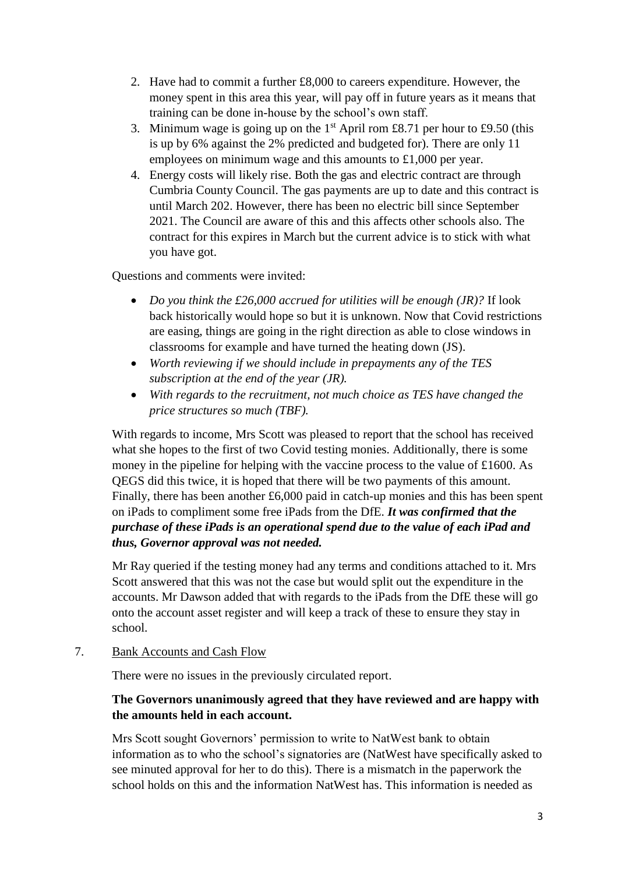- 2. Have had to commit a further £8,000 to careers expenditure. However, the money spent in this area this year, will pay off in future years as it means that training can be done in-house by the school's own staff.
- 3. Minimum wage is going up on the  $1<sup>st</sup>$  April rom £8.71 per hour to £9.50 (this is up by 6% against the 2% predicted and budgeted for). There are only 11 employees on minimum wage and this amounts to £1,000 per year.
- 4. Energy costs will likely rise. Both the gas and electric contract are through Cumbria County Council. The gas payments are up to date and this contract is until March 202. However, there has been no electric bill since September 2021. The Council are aware of this and this affects other schools also. The contract for this expires in March but the current advice is to stick with what you have got.

Questions and comments were invited:

- *Do you think the £26,000 accrued for utilities will be enough (JR)?* If look back historically would hope so but it is unknown. Now that Covid restrictions are easing, things are going in the right direction as able to close windows in classrooms for example and have turned the heating down (JS).
- *Worth reviewing if we should include in prepayments any of the TES subscription at the end of the year (JR).*
- *With regards to the recruitment, not much choice as TES have changed the price structures so much (TBF).*

With regards to income, Mrs Scott was pleased to report that the school has received what she hopes to the first of two Covid testing monies. Additionally, there is some money in the pipeline for helping with the vaccine process to the value of £1600. As QEGS did this twice, it is hoped that there will be two payments of this amount. Finally, there has been another £6,000 paid in catch-up monies and this has been spent on iPads to compliment some free iPads from the DfE. *It was confirmed that the purchase of these iPads is an operational spend due to the value of each iPad and thus, Governor approval was not needed.*

Mr Ray queried if the testing money had any terms and conditions attached to it. Mrs Scott answered that this was not the case but would split out the expenditure in the accounts. Mr Dawson added that with regards to the iPads from the DfE these will go onto the account asset register and will keep a track of these to ensure they stay in school.

7. Bank Accounts and Cash Flow

There were no issues in the previously circulated report.

# **The Governors unanimously agreed that they have reviewed and are happy with the amounts held in each account.**

Mrs Scott sought Governors' permission to write to NatWest bank to obtain information as to who the school's signatories are (NatWest have specifically asked to see minuted approval for her to do this). There is a mismatch in the paperwork the school holds on this and the information NatWest has. This information is needed as